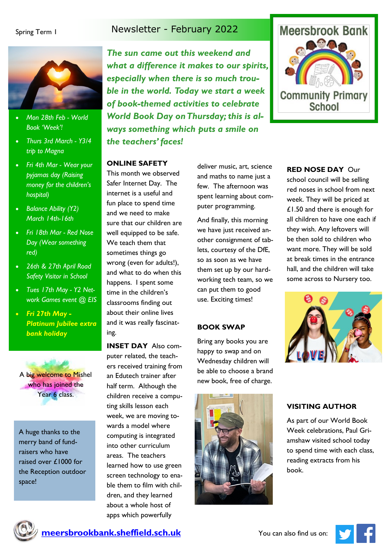



- *Mon 28th Feb - World Book 'Week'!*
- *Thurs 3rd March - Y3/4 trip to Magna*
- *Fri 4th Mar - Wear your pyjamas day (Raising money for the children's hospital)*
- *Balance Ability (Y2) March 14th-16th*
- *Fri 18th Mar - Red Nose Day (Wear something red)*
- *26th & 27th April Road Safety Visitor in School*
- *Tues 17th May - Y2 Network Games event @ EIS*
- *Fri 27th May Platinum Jubilee extra bank holiday*

A big welcome to Mishel who has joined the Year 6 class.

A huge thanks to the merry band of fundraisers who have raised over £1000 for the Reception outdoor space!

*The sun came out this weekend and what a difference it makes to our spirits, especially when there is so much trouble in the world. Today we start a week of book-themed activities to celebrate World Book Day on Thursday; this is always something which puts a smile on the teachers' faces!*

### **ONLINE SAFETY**

This month we observed Safer Internet Day. The internet is a useful and fun place to spend time and we need to make sure that our children are well equipped to be safe. We teach them that sometimes things go wrong (even for adults!), and what to do when this happens. I spent some time in the children's classrooms finding out about their online lives and it was really fascinating.

**INSET DAY** Also computer related, the teachers received training from an Edutech trainer after half term. Although the children receive a computing skills lesson each week, we are moving towards a model where computing is integrated into other curriculum areas. The teachers learned how to use green screen technology to enable them to film with children, and they learned about a whole host of apps which powerfully

deliver music, art, science and maths to name just a few. The afternoon was spent learning about computer programming.

And finally, this morning we have just received another consignment of tablets, courtesy of the DfE, so as soon as we have them set up by our hardworking tech team, so we can put them to good use. Exciting times!

### **BOOK SWAP**

Bring any books you are happy to swap and on Wednesday children will be able to choose a brand new book, free of charge.





### **RED NOSE DAY** Our

school council will be selling red noses in school from next week. They will be priced at £1.50 and there is enough for all children to have one each if they wish. Any leftovers will be then sold to children who want more. They will be sold at break times in the entrance hall, and the children will take some across to Nursery too.



### **VISITING AUTHOR**

As part of our World Book Week celebrations, Paul Griamshaw visited school today to spend time with each class, reading extracts from his book.



**meersbrookbank.sheffield.sch.uk** You can also find us on: